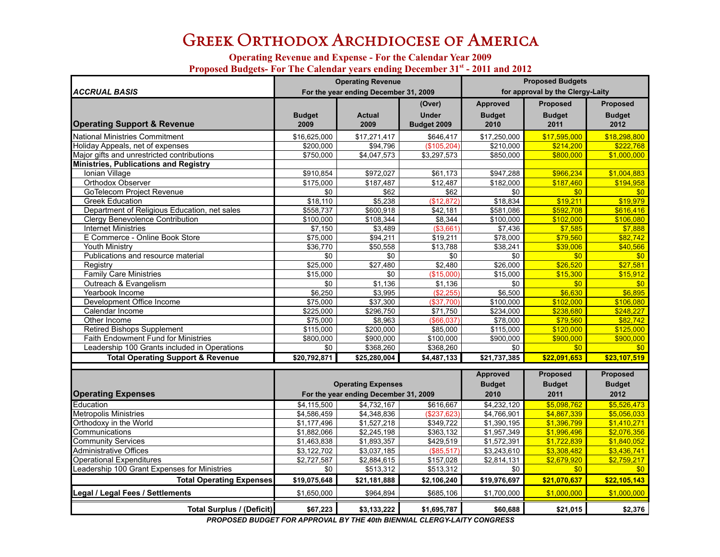# GREEK ORTHODOX ARCHDIOCESE OF AMERICA

#### **Operating Revenue and Expense - For the Calendar Year 2009** Proposed Budgets- For The Calendar years ending December 31<sup>st</sup> - 2011 and 2012

|                                              |               | <b>Operating Revenue</b>              |              | <b>Proposed Budgets</b> |                                  |                 |  |
|----------------------------------------------|---------------|---------------------------------------|--------------|-------------------------|----------------------------------|-----------------|--|
| <b>ACCRUAL BASIS</b>                         |               | For the year ending December 31, 2009 |              |                         | for approval by the Clergy-Laity |                 |  |
|                                              |               |                                       | (Over)       | <b>Approved</b>         | <b>Proposed</b>                  | <b>Proposed</b> |  |
|                                              | <b>Budget</b> | <b>Actual</b>                         | <b>Under</b> | <b>Budget</b>           | <b>Budget</b>                    | <b>Budget</b>   |  |
| <b>Operating Support &amp; Revenue</b>       | 2009          | 2009                                  | Budget 2009  | 2010                    | 2011                             | 2012            |  |
| National Ministries Commitment               | \$16,625,000  | \$17,271,417                          | \$646,417    | \$17,250,000            | \$17,595,000                     | \$18,298,800    |  |
| Holiday Appeals, net of expenses             | \$200.000     | \$94.796                              | (S105.204)   | \$210,000               | \$214.200                        | \$222.768       |  |
| Major gifts and unrestricted contributions   | \$750,000     | \$4,047,573                           | \$3,297,573  | \$850,000               | \$800.000                        | \$1,000,000     |  |
| <b>Ministries, Publications and Registry</b> |               |                                       |              |                         |                                  |                 |  |
| Ionian Village                               | \$910,854     | \$972,027                             | \$61,173     | \$947,288               | \$966.234                        | \$1,004,883     |  |
| Orthodox Observer                            | \$175,000     | \$187,487                             | \$12,487     | \$182,000               | \$187,460                        | \$194,958       |  |
| <b>GoTelecom Project Revenue</b>             | \$0           | \$62                                  | \$62         | \$0                     | \$0                              | \$0             |  |
| <b>Greek Education</b>                       | \$18,110      | \$5,238                               | (\$12,872)   | \$18,834                | \$19,211                         | \$19,979        |  |
| Department of Religious Education, net sales | \$558,737     | \$600,918                             | \$42,181     | \$581,086               | \$592,708                        | \$616,416       |  |
| Clergy Benevolence Contribution              | \$100,000     | \$108,344                             | \$8,344      | \$100,000               | \$102.000                        | \$106,080       |  |
| <b>Internet Ministries</b>                   | \$7.150       | \$3,489                               | (\$3,661)    | \$7,436                 | \$7,585                          | \$7,888         |  |
| E Commerce - Online Book Store               | \$75,000      | \$94,211                              | \$19,211     | \$78,000                | \$79,560                         | \$82,742        |  |
| Youth Ministry                               | \$36,770      | \$50,558                              | \$13,788     | \$38,241                | \$39,006                         | \$40,566        |  |
| Publications and resource material           | \$0           | \$0                                   | \$0          | \$0                     | \$0                              | \$0             |  |
| Registry                                     | \$25,000      | \$27,480                              | \$2,480      | \$26,000                | \$26,520                         | \$27,581        |  |
| <b>Family Care Ministries</b>                | \$15.000      | \$0                                   | (S15.000)    | \$15,000                | \$15,300                         | \$15,912        |  |
| Outreach & Evangelism                        | \$0           | \$1,136                               | \$1,136      | \$0                     | \$0                              | \$0             |  |
| Yearbook Income                              | \$6,250       | \$3,995                               | (\$2,255)    | \$6,500                 | \$6,630                          | \$6,895         |  |
| Development Office Income                    | \$75,000      | \$37,300                              | (\$37,700)   | \$100,000               | \$102,000                        | \$106,080       |  |
| Calendar Income                              | \$225,000     | \$296.750                             | \$71.750     | \$234,000               | \$238.680                        | \$248.227       |  |
| Other Income                                 | \$75,000      | \$8,963                               | ( \$66,037)  | \$78,000                | \$79,560                         | \$82,742        |  |
| Retired Bishops Supplement                   | \$115,000     | \$200,000                             | \$85,000     | \$115,000               | \$120.000                        | \$125,000       |  |
| <b>Faith Endowment Fund for Ministries</b>   | \$800,000     | \$900,000                             | \$100,000    | \$900,000               | \$900,000                        | \$900,000       |  |
| Leadership 100 Grants included in Operations | \$0           | \$368,260                             | \$368,260    | \$0                     | \$0                              | \$0             |  |
| <b>Total Operating Support &amp; Revenue</b> | \$20,792,871  | \$25,280,004                          | \$4,487,133  | \$21,737,385            | \$22,091,653                     | \$23,107,519    |  |

|                                              |              |                                       |               | Approved      | <b>Proposed</b> | <b>Proposed</b> |
|----------------------------------------------|--------------|---------------------------------------|---------------|---------------|-----------------|-----------------|
|                                              |              | <b>Operating Expenses</b>             |               | <b>Budget</b> | <b>Budget</b>   | <b>Budget</b>   |
| <b>Operating Expenses</b>                    |              | For the year ending December 31, 2009 |               | 2010          | 2011            | 2012            |
| Education                                    | \$4,115,500  | \$4,732,167                           | \$616,667     | \$4,232,120   | \$5,098,762     | \$5,526,473     |
| <b>Metropolis Ministries</b>                 | \$4,586,459  | \$4,348,836                           | $(\$237,623)$ | \$4,766,901   | \$4,867,339     | \$5,056,033     |
| Orthodoxy in the World                       | \$1,177,496  | \$1,527,218                           | \$349,722     | \$1,390,195   | \$1,396,799     | \$1,410,271     |
| <b>I</b> Communications                      | \$1,882,066  | \$2,245,198                           | \$363,132     | \$1,957,349   | \$1,996,496     | \$2,076,356     |
| <b>Community Services</b>                    | \$1,463,838  | \$1,893,357                           | \$429,519     | \$1,572,391   | \$1,722,839     | \$1,840,052     |
| <b>Administrative Offices</b>                | \$3,122,702  | \$3,037,185                           | (\$85,517)    | \$3,243,610   | \$3,308,482     | \$3,436,741     |
| <b>Operational Expenditures</b>              | \$2,727,587  | \$2,884,615                           | \$157,028     | \$2,814,131   | \$2,679,920     | \$2,759,217     |
| Leadership 100 Grant Expenses for Ministries | \$0          | \$513,312                             | \$513,312     | \$0           |                 | \$0             |
| <b>Total Operating Expenses</b>              | \$19,075,648 | \$21,181,888                          | \$2,106,240   | \$19,976,697  | \$21,070,637    | \$22,105,143    |
| Legal / Legal Fees / Settlements             | \$1,650,000  | \$964.894                             | \$685,106     | \$1,700,000   | \$1,000,000     | \$1,000,000     |
| <b>Total Surplus / (Deficit)</b>             | \$67,223     | \$3,133,222                           | \$1,695,787   | \$60,688      | \$21,015        | \$2,376         |

*PROPOSED BUDGET FOR APPROVAL BY THE 40th BIENNIAL CLERGY-LAITY CONGRESS*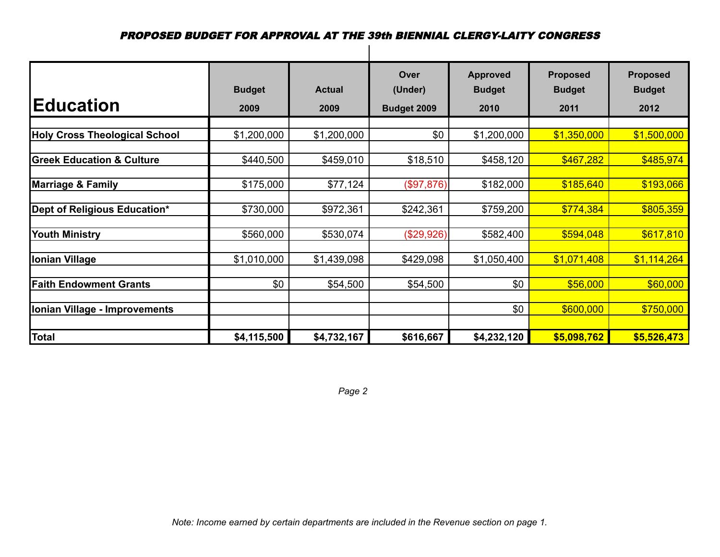| <b>IEducation</b>                    | <b>Budget</b><br>2009 | <b>Actual</b><br>2009 | Over<br>(Under)<br>Budget 2009 | <b>Approved</b><br><b>Budget</b><br>2010 | <b>Proposed</b><br><b>Budget</b><br>2011 | <b>Proposed</b><br><b>Budget</b><br>2012 |
|--------------------------------------|-----------------------|-----------------------|--------------------------------|------------------------------------------|------------------------------------------|------------------------------------------|
|                                      |                       |                       |                                |                                          |                                          |                                          |
| <b>Holy Cross Theological School</b> | \$1,200,000           | \$1,200,000           | \$0                            | \$1,200,000                              | \$1,350,000                              | \$1,500,000                              |
|                                      |                       |                       |                                |                                          |                                          |                                          |
| <b>Greek Education &amp; Culture</b> | \$440,500             | \$459,010             | \$18,510                       | \$458,120                                | \$467,282                                | \$485,974                                |
|                                      |                       |                       |                                |                                          |                                          |                                          |
| <b>Marriage &amp; Family</b>         | \$175,000             | \$77,124              | (\$97,876)                     | \$182,000                                | \$185,640                                | \$193,066                                |
|                                      |                       |                       |                                |                                          |                                          |                                          |
| Dept of Religious Education*         | \$730,000             | \$972,361             | \$242,361                      | \$759,200                                | \$774,384                                | \$805,359                                |
|                                      |                       |                       |                                |                                          |                                          |                                          |
| <b>Youth Ministry</b>                | \$560,000             | \$530,074             | (\$29,926)                     | \$582,400                                | \$594,048                                | \$617,810                                |
|                                      |                       |                       |                                |                                          |                                          |                                          |
| <b>Ionian Village</b>                | \$1,010,000           | \$1,439,098           | \$429,098                      | \$1,050,400                              | \$1,071,408                              | \$1,114,264                              |
|                                      |                       |                       |                                |                                          |                                          |                                          |
| <b>Faith Endowment Grants</b>        | \$0                   | \$54,500              | \$54,500                       | \$0                                      | \$56,000                                 | \$60,000                                 |
|                                      |                       |                       |                                |                                          |                                          |                                          |
| Ionian Village - Improvements        |                       |                       |                                | \$0                                      | \$600,000                                | \$750,000                                |
|                                      |                       |                       |                                |                                          |                                          |                                          |
| <b>Total</b>                         | \$4,115,500           | \$4,732,167           | \$616,667                      | \$4,232,120                              | \$5,098,762                              | \$5,526,473                              |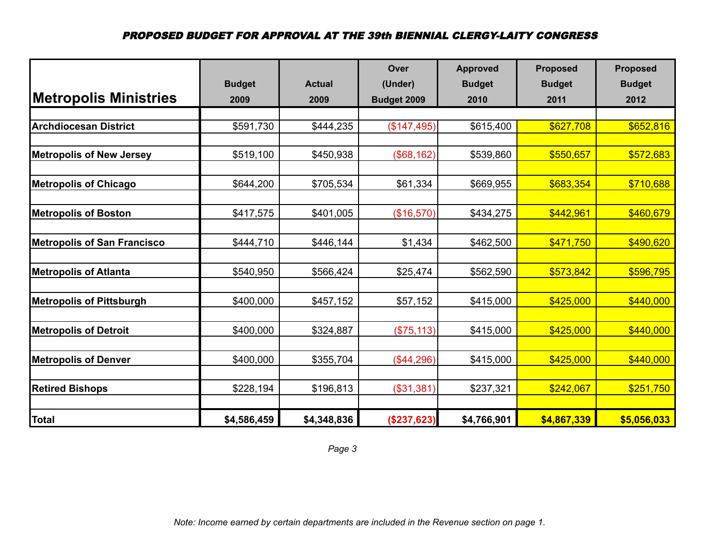|                                    |               |               | Over        | <b>Approved</b> | <b>Proposed</b> | <b>Proposed</b> |
|------------------------------------|---------------|---------------|-------------|-----------------|-----------------|-----------------|
|                                    | <b>Budget</b> | <b>Actual</b> | (Under)     | <b>Budget</b>   | <b>Budget</b>   | <b>Budget</b>   |
| <b>Metropolis Ministries</b>       | 2009          | 2009          | Budget 2009 | 2010            | 2011            | 2012            |
|                                    |               |               |             |                 |                 |                 |
| <b>Archdiocesan District</b>       | \$591,730     | \$444,235     | (\$147,495) | \$615,400       | \$627,708       | \$652,816       |
|                                    |               |               |             |                 |                 |                 |
| <b>Metropolis of New Jersey</b>    | \$519,100     | \$450,938     | (\$68,162)  | \$539,860       | \$550,657       | \$572,683       |
| <b>Metropolis of Chicago</b>       | \$644,200     | \$705,534     | \$61,334    | \$669,955       | \$683,354       | \$710,688       |
| <b>Metropolis of Boston</b>        | \$417,575     | \$401,005     | (\$16,570)  | \$434,275       | \$442,961       | \$460,679       |
| <b>Metropolis of San Francisco</b> | \$444,710     | \$446,144     | \$1,434     | \$462,500       | \$471,750       | \$490,620       |
| <b>Metropolis of Atlanta</b>       | \$540,950     | \$566,424     | \$25,474    | \$562,590       | \$573,842       | \$596,795       |
| <b>Metropolis of Pittsburgh</b>    | \$400,000     | \$457,152     | \$57,152    | \$415,000       | \$425,000       | \$440,000       |
| <b>Metropolis of Detroit</b>       | \$400,000     | \$324,887     | (\$75, 113) | \$415,000       | \$425,000       | \$440,000       |
| <b>Metropolis of Denver</b>        | \$400,000     | \$355,704     | (\$44,296)  | \$415,000       | \$425,000       | \$440,000       |
| <b>Retired Bishops</b>             | \$228,194     | \$196,813     | (\$31,381)  | \$237,321       | \$242,067       | \$251,750       |
| <b>Total</b>                       | \$4,586,459   | \$4,348,836   | (\$237,623) | \$4,766,901     | \$4,867,339     | \$5,056,033     |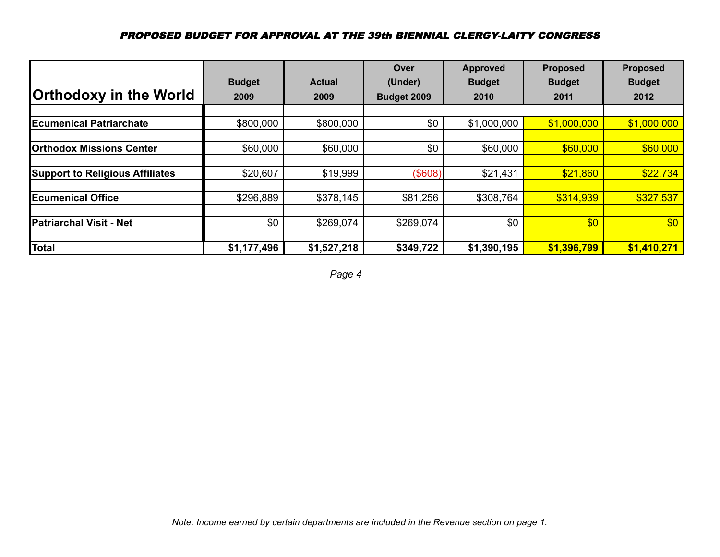|                                        |               |               | Over        | Approved      | <b>Proposed</b> | <b>Proposed</b> |
|----------------------------------------|---------------|---------------|-------------|---------------|-----------------|-----------------|
|                                        | <b>Budget</b> | <b>Actual</b> | (Under)     | <b>Budget</b> | <b>Budget</b>   | <b>Budget</b>   |
| <b>Orthodoxy in the World</b>          | 2009          | 2009          | Budget 2009 | 2010          | 2011            | 2012            |
|                                        |               |               |             |               |                 |                 |
| <b>IEcumenical Patriarchate</b>        | \$800,000     | \$800,000     | \$0         | \$1,000,000   | \$1,000,000     | \$1,000,000     |
|                                        |               |               |             |               |                 |                 |
| <b>Orthodox Missions Center</b>        | \$60,000      | \$60,000      | \$0         | \$60,000      | \$60,000        | \$60,000        |
|                                        |               |               |             |               |                 |                 |
| <b>Support to Religious Affiliates</b> | \$20,607      | \$19,999      | (\$608)     | \$21,431      | \$21,860        | \$22,734        |
|                                        |               |               |             |               |                 |                 |
| <b>Ecumenical Office</b>               | \$296,889     | \$378,145     | \$81,256    | \$308,764     | \$314,939       | \$327,537       |
|                                        |               |               |             |               |                 |                 |
| <b>Patriarchal Visit - Net</b>         | \$0           | \$269,074     | \$269,074   | \$0           | \$0             | \$0             |
|                                        |               |               |             |               |                 |                 |
| <b>Total</b>                           | \$1,177,496   | \$1,527,218   | \$349,722   | \$1,390,195   | \$1,396,799     | \$1,410,271     |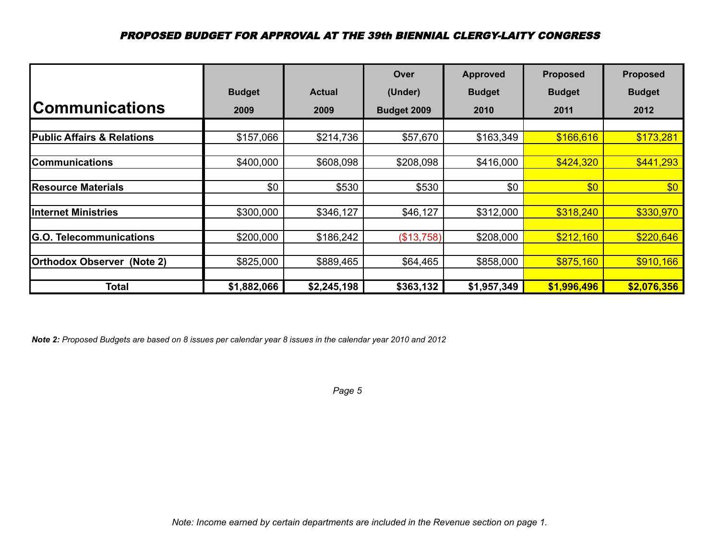|                                          |               |               | Over        | <b>Approved</b> | <b>Proposed</b> | <b>Proposed</b> |
|------------------------------------------|---------------|---------------|-------------|-----------------|-----------------|-----------------|
|                                          | <b>Budget</b> | <b>Actual</b> | (Under)     | <b>Budget</b>   | <b>Budget</b>   | <b>Budget</b>   |
| <b>Communications</b>                    | 2009          | 2009          | Budget 2009 | 2010            | 2011            | 2012            |
|                                          |               |               |             |                 |                 |                 |
| <b>Public Affairs &amp; Relations</b>    | \$157,066     | \$214,736     | \$57,670    | \$163,349       | \$166,616       | \$173,281       |
|                                          |               |               |             |                 |                 |                 |
| <b>Communications</b>                    | \$400,000     | \$608,098     | \$208,098   | \$416,000       | \$424,320       | \$441,293       |
|                                          |               |               |             |                 |                 |                 |
| <b>Resource Materials</b>                | \$0           | \$530         | \$530       | \$0             | \$0             | \$0             |
|                                          |               |               |             |                 |                 |                 |
| <b>Internet Ministries</b>               | \$300,000     | \$346,127     | \$46,127    | \$312,000       | \$318,240       | \$330,970       |
|                                          |               |               |             |                 |                 |                 |
| <b>G.O.</b><br><b>Telecommunications</b> | \$200,000     | \$186,242     | (\$13,758)  | \$208,000       | \$212,160       | \$220,646       |
|                                          |               |               |             |                 |                 |                 |
| <b>Orthodox Observer</b><br>(Note 2)     | \$825,000     | \$889,465     | \$64,465    | \$858,000       | \$875,160       | \$910,166       |
|                                          |               |               |             |                 |                 |                 |
| <b>Total</b>                             | \$1,882,066   | \$2,245,198   | \$363,132   | \$1,957,349     | \$1,996,496     | \$2,076,356     |

*Note 2: Proposed Budgets are based on 8 issues per calendar year 8 issues in the calendar year 2010 and 2012*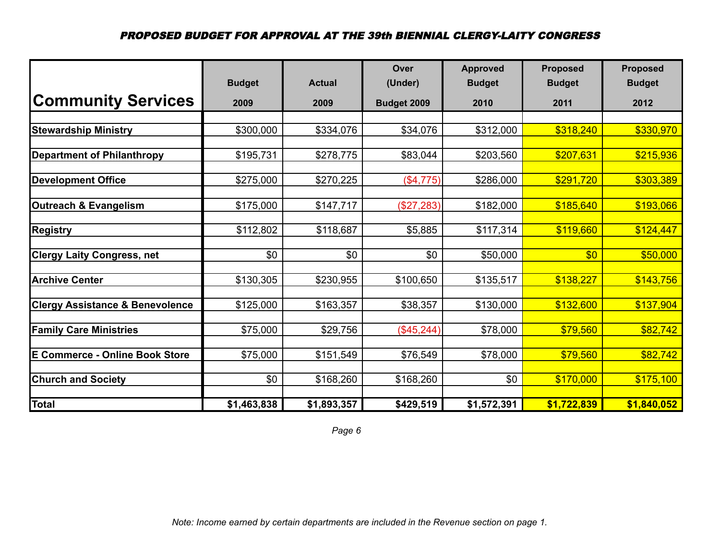|                                            | <b>Budget</b> | <b>Actual</b> | Over<br>(Under) | <b>Approved</b><br><b>Budget</b> | <b>Proposed</b><br><b>Budget</b> | <b>Proposed</b><br><b>Budget</b> |
|--------------------------------------------|---------------|---------------|-----------------|----------------------------------|----------------------------------|----------------------------------|
| <b>Community Services</b>                  | 2009          | 2009          | Budget 2009     | 2010                             | 2011                             | 2012                             |
|                                            |               |               |                 |                                  |                                  |                                  |
| <b>Stewardship Ministry</b>                | \$300,000     | \$334,076     | \$34,076        | \$312,000                        | \$318,240                        | \$330,970                        |
| <b>Department of Philanthropy</b>          | \$195,731     | \$278,775     | \$83,044        | \$203,560                        | \$207,631                        | \$215,936                        |
| <b>Development Office</b>                  | \$275,000     | \$270,225     | (\$4,775)       | \$286,000                        | \$291,720                        | \$303,389                        |
| Outreach & Evangelism                      | \$175,000     | \$147,717     | (\$27,283)      | \$182,000                        | \$185,640                        | \$193,066                        |
| <b>Registry</b>                            | \$112,802     | \$118,687     | \$5,885         | \$117,314                        | \$119,660                        | \$124,447                        |
| <b>Clergy Laity Congress, net</b>          | \$0           | \$0           | \$0             | \$50,000                         | \$0                              | \$50,000                         |
| <b>Archive Center</b>                      | \$130,305     | \$230,955     | \$100,650       | \$135,517                        | \$138,227                        | \$143,756                        |
| <b>Clergy Assistance &amp; Benevolence</b> | \$125,000     | \$163,357     | \$38,357        | \$130,000                        | \$132,600                        | \$137,904                        |
| <b>Family Care Ministries</b>              | \$75,000      | \$29,756      | (\$45,244)      | \$78,000                         | \$79,560                         | \$82,742                         |
| <b>E Commerce - Online Book Store</b>      | \$75,000      | \$151,549     | \$76,549        | \$78,000                         | \$79,560                         | \$82,742                         |
| <b>Church and Society</b>                  | \$0           | \$168,260     | \$168,260       | \$0                              | \$170,000                        | \$175,100                        |
| <b>Total</b>                               | \$1,463,838   | \$1,893,357   | \$429,519       | \$1,572,391                      | \$1,722,839                      | \$1,840,052                      |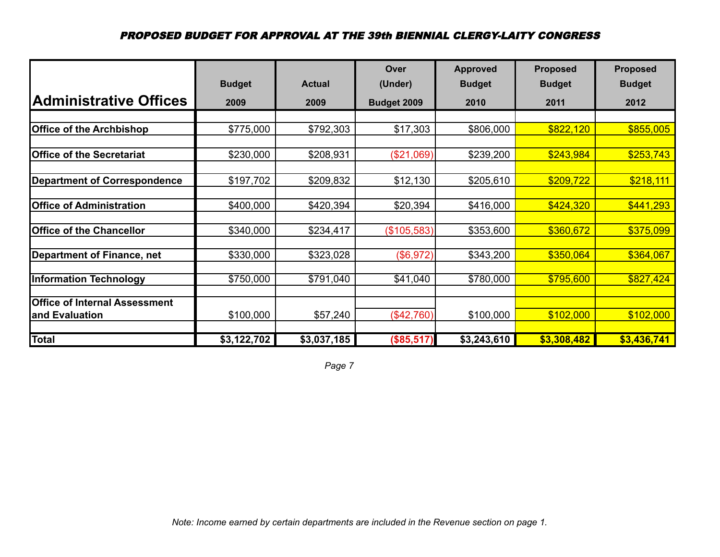|                                      |               |               | Over        | <b>Approved</b> | <b>Proposed</b> | <b>Proposed</b> |
|--------------------------------------|---------------|---------------|-------------|-----------------|-----------------|-----------------|
|                                      | <b>Budget</b> | <b>Actual</b> | (Under)     | <b>Budget</b>   | <b>Budget</b>   | <b>Budget</b>   |
| <b>Administrative Offices</b>        | 2009          | 2009          | Budget 2009 | 2010            | 2011            | 2012            |
|                                      |               |               |             |                 |                 |                 |
| <b>Office of the Archbishop</b>      | \$775,000     | \$792,303     | \$17,303    | \$806,000       | \$822,120       | \$855,005       |
|                                      |               |               |             |                 |                 |                 |
| <b>Office of the Secretariat</b>     | \$230,000     | \$208,931     | (\$21,069)  | \$239,200       | \$243,984       | \$253,743       |
|                                      |               |               |             |                 |                 |                 |
| <b>Department of Correspondence</b>  | \$197,702     | \$209,832     | \$12,130    | \$205,610       | \$209,722       | \$218,111       |
|                                      |               |               |             |                 |                 |                 |
| <b>Office of Administration</b>      | \$400,000     | \$420,394     | \$20,394    | \$416,000       | \$424,320       | \$441,293       |
| <b>Office of the Chancellor</b>      | \$340,000     | \$234,417     | (\$105,583) | \$353,600       | \$360,672       | \$375,099       |
|                                      |               |               |             |                 |                 |                 |
| <b>Department of Finance, net</b>    | \$330,000     | \$323,028     | (\$6,972)   | \$343,200       | \$350,064       | \$364,067       |
|                                      |               |               |             |                 |                 |                 |
| <b>Information Technology</b>        | \$750,000     | \$791,040     | \$41,040    | \$780,000       | \$795,600       | \$827,424       |
| <b>Office of Internal Assessment</b> |               |               |             |                 |                 |                 |
| and Evaluation                       | \$100,000     | \$57,240      | (\$42,760)  | \$100,000       | \$102,000       | \$102,000       |
|                                      |               |               |             |                 |                 |                 |
| <b>Total</b>                         | \$3,122,702   | \$3,037,185   | (\$85,517)  | \$3,243,610     | \$3,308,482     | \$3,436,741     |